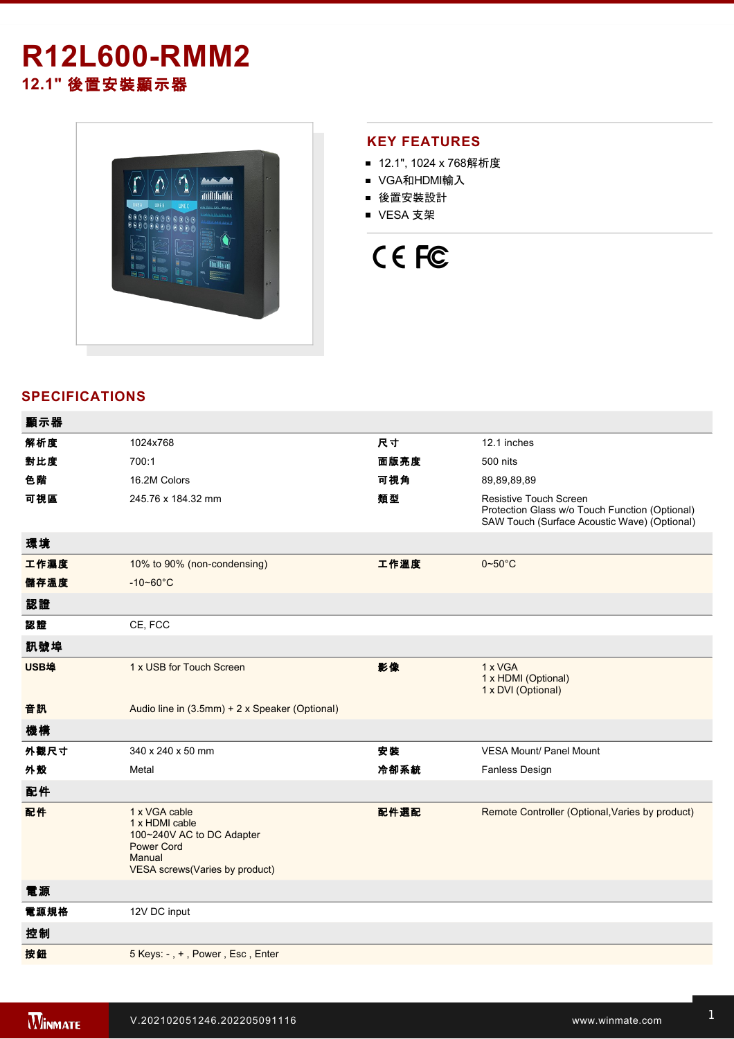# **R12L600-RMM2 12.1"** 後置安裝顯示器



## **KEY FEATURES**

- 12.1", 1024 x 768解析度
- VGA和HDMI輸入
- 後置安裝設計
- VESA 支架



# **SPECIFICATIONS**

| 顯示器  |                                                                                                                               |      |                                                                                                                          |
|------|-------------------------------------------------------------------------------------------------------------------------------|------|--------------------------------------------------------------------------------------------------------------------------|
| 解析度  | 1024x768                                                                                                                      | 尺寸   | 12.1 inches                                                                                                              |
| 對比度  | 700:1                                                                                                                         | 面版亮度 | 500 nits                                                                                                                 |
| 色階   | 16.2M Colors                                                                                                                  | 可視角  | 89,89,89,89                                                                                                              |
| 可視區  | 245.76 x 184.32 mm                                                                                                            | 類型   | Resistive Touch Screen<br>Protection Glass w/o Touch Function (Optional)<br>SAW Touch (Surface Acoustic Wave) (Optional) |
| 環境   |                                                                                                                               |      |                                                                                                                          |
| 工作濕度 | 10% to 90% (non-condensing)                                                                                                   | 工作溫度 | $0 - 50$ °C                                                                                                              |
| 儲存溫度 | $-10 - 60^{\circ}C$                                                                                                           |      |                                                                                                                          |
| 認證   |                                                                                                                               |      |                                                                                                                          |
| 認證   | CE, FCC                                                                                                                       |      |                                                                                                                          |
| 訊號埠  |                                                                                                                               |      |                                                                                                                          |
| USB埠 | 1 x USB for Touch Screen                                                                                                      | 影像   | 1 x VGA<br>1 x HDMI (Optional)<br>1 x DVI (Optional)                                                                     |
| 音訊   | Audio line in (3.5mm) + 2 x Speaker (Optional)                                                                                |      |                                                                                                                          |
| 機構   |                                                                                                                               |      |                                                                                                                          |
| 外觀尺寸 | 340 x 240 x 50 mm                                                                                                             | 安装   | <b>VESA Mount/ Panel Mount</b>                                                                                           |
| 外殼   | Metal                                                                                                                         | 冷卻系統 | Fanless Design                                                                                                           |
| 配件   |                                                                                                                               |      |                                                                                                                          |
| 配件   | 1 x VGA cable<br>1 x HDMI cable<br>100~240V AC to DC Adapter<br><b>Power Cord</b><br>Manual<br>VESA screws(Varies by product) | 配件選配 | Remote Controller (Optional, Varies by product)                                                                          |
| 電源   |                                                                                                                               |      |                                                                                                                          |
| 電源規格 | 12V DC input                                                                                                                  |      |                                                                                                                          |
| 控制   |                                                                                                                               |      |                                                                                                                          |
| 按鈕   | 5 Keys: -, +, Power, Esc, Enter                                                                                               |      |                                                                                                                          |
|      |                                                                                                                               |      |                                                                                                                          |

**DIMENSIONS**  UNIT:MM